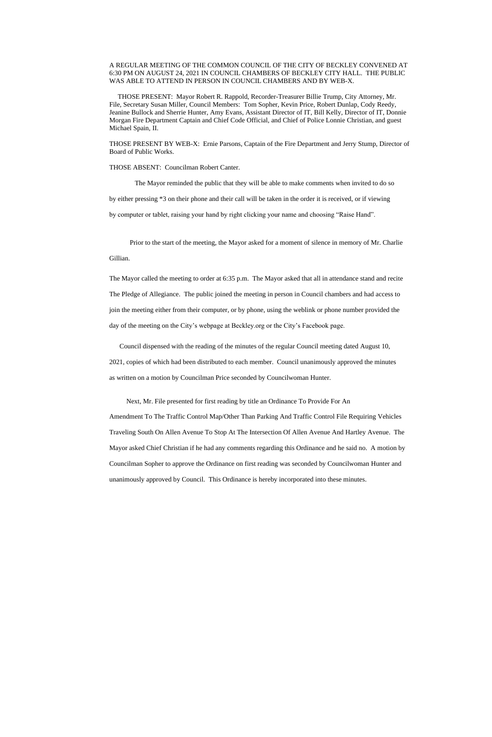A REGULAR MEETING OF THE COMMON COUNCIL OF THE CITY OF BECKLEY CONVENED AT 6:30 PM ON AUGUST 24, 2021 IN COUNCIL CHAMBERS OF BECKLEY CITY HALL. THE PUBLIC WAS ABLE TO ATTEND IN PERSON IN COUNCIL CHAMBERS AND BY WEB-X.

 THOSE PRESENT: Mayor Robert R. Rappold, Recorder-Treasurer Billie Trump, City Attorney, Mr. File, Secretary Susan Miller, Council Members: Tom Sopher, Kevin Price, Robert Dunlap, Cody Reedy, Jeanine Bullock and Sherrie Hunter, Amy Evans, Assistant Director of IT, Bill Kelly, Director of IT, Donnie Morgan Fire Department Captain and Chief Code Official, and Chief of Police Lonnie Christian, and guest Michael Spain, II.

THOSE PRESENT BY WEB-X: Ernie Parsons, Captain of the Fire Department and Jerry Stump, Director of Board of Public Works.

THOSE ABSENT: Councilman Robert Canter.

The Mayor reminded the public that they will be able to make comments when invited to do so

by either pressing \*3 on their phone and their call will be taken in the order it is received, or if viewing

by computer or tablet, raising your hand by right clicking your name and choosing "Raise Hand".

Prior to the start of the meeting, the Mayor asked for a moment of silence in memory of Mr. Charlie Gillian.

The Mayor called the meeting to order at 6:35 p.m. The Mayor asked that all in attendance stand and recite The Pledge of Allegiance. The public joined the meeting in person in Council chambers and had access to join the meeting either from their computer, or by phone, using the weblink or phone number provided the day of the meeting on the City's webpage at Beckley.org or the City's Facebook page.

 Council dispensed with the reading of the minutes of the regular Council meeting dated August 10, 2021, copies of which had been distributed to each member. Council unanimously approved the minutes as written on a motion by Councilman Price seconded by Councilwoman Hunter.

Next, Mr. File presented for first reading by title an Ordinance To Provide For An

Amendment To The Traffic Control Map/Other Than Parking And Traffic Control File Requiring Vehicles Traveling South On Allen Avenue To Stop At The Intersection Of Allen Avenue And Hartley Avenue. The Mayor asked Chief Christian if he had any comments regarding this Ordinance and he said no. A motion by Councilman Sopher to approve the Ordinance on first reading was seconded by Councilwoman Hunter and unanimously approved by Council. This Ordinance is hereby incorporated into these minutes.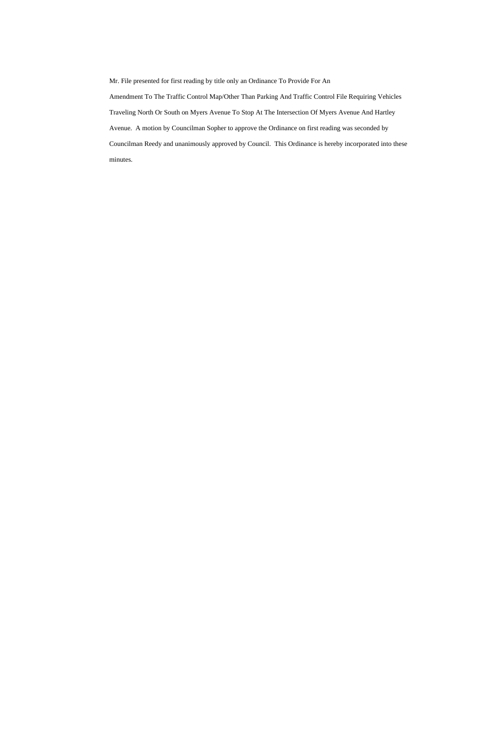Mr. File presented for first reading by title only an Ordinance To Provide For An

Amendment To The Traffic Control Map/Other Than Parking And Traffic Control File Requiring Vehicles Traveling North Or South on Myers Avenue To Stop At The Intersection Of Myers Avenue And Hartley Avenue. A motion by Councilman Sopher to approve the Ordinance on first reading was seconded by Councilman Reedy and unanimously approved by Council. This Ordinance is hereby incorporated into these minutes.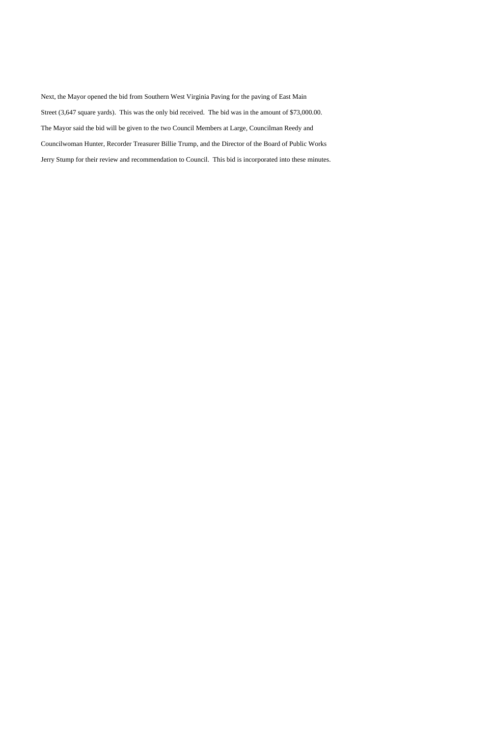Next, the Mayor opened the bid from Southern West Virginia Paving for the paving of East Main Street (3,647 square yards). This was the only bid received. The bid was in the amount of \$73,000.00. The Mayor said the bid will be given to the two Council Members at Large, Councilman Reedy and Councilwoman Hunter, Recorder Treasurer Billie Trump, and the Director of the Board of Public Works Jerry Stump for their review and recommendation to Council. This bid is incorporated into these minutes.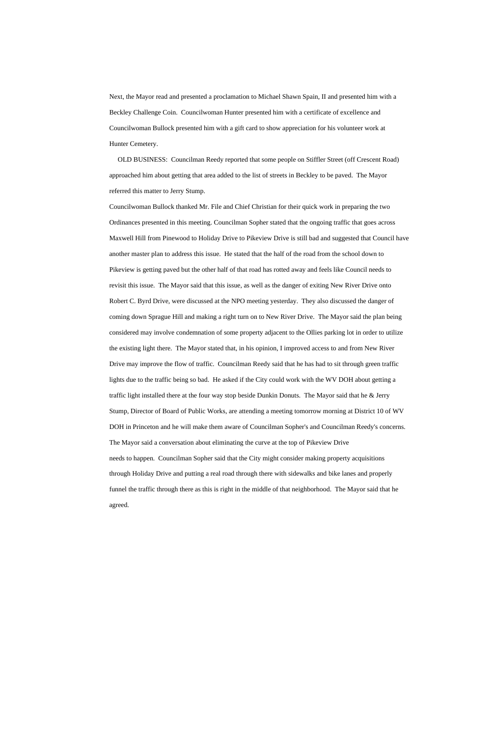Next, the Mayor read and presented a proclamation to Michael Shawn Spain, II and presented him with a Beckley Challenge Coin. Councilwoman Hunter presented him with a certificate of excellence and Councilwoman Bullock presented him with a gift card to show appreciation for his volunteer work at Hunter Cemetery.

 OLD BUSINESS: Councilman Reedy reported that some people on Stiffler Street (off Crescent Road) approached him about getting that area added to the list of streets in Beckley to be paved. The Mayor referred this matter to Jerry Stump.

Councilwoman Bullock thanked Mr. File and Chief Christian for their quick work in preparing the two Ordinances presented in this meeting. Councilman Sopher stated that the ongoing traffic that goes across Maxwell Hill from Pinewood to Holiday Drive to Pikeview Drive is still bad and suggested that Council have another master plan to address this issue. He stated that the half of the road from the school down to Pikeview is getting paved but the other half of that road has rotted away and feels like Council needs to revisit this issue. The Mayor said that this issue, as well as the danger of exiting New River Drive onto Robert C. Byrd Drive, were discussed at the NPO meeting yesterday. They also discussed the danger of coming down Sprague Hill and making a right turn on to New River Drive. The Mayor said the plan being considered may involve condemnation of some property adjacent to the Ollies parking lot in order to utilize the existing light there. The Mayor stated that, in his opinion, I improved access to and from New River Drive may improve the flow of traffic. Councilman Reedy said that he has had to sit through green traffic lights due to the traffic being so bad. He asked if the City could work with the WV DOH about getting a traffic light installed there at the four way stop beside Dunkin Donuts. The Mayor said that he & Jerry Stump, Director of Board of Public Works, are attending a meeting tomorrow morning at District 10 of WV DOH in Princeton and he will make them aware of Councilman Sopher's and Councilman Reedy's concerns. The Mayor said a conversation about eliminating the curve at the top of Pikeview Drive needs to happen. Councilman Sopher said that the City might consider making property acquisitions through Holiday Drive and putting a real road through there with sidewalks and bike lanes and properly funnel the traffic through there as this is right in the middle of that neighborhood. The Mayor said that he agreed.